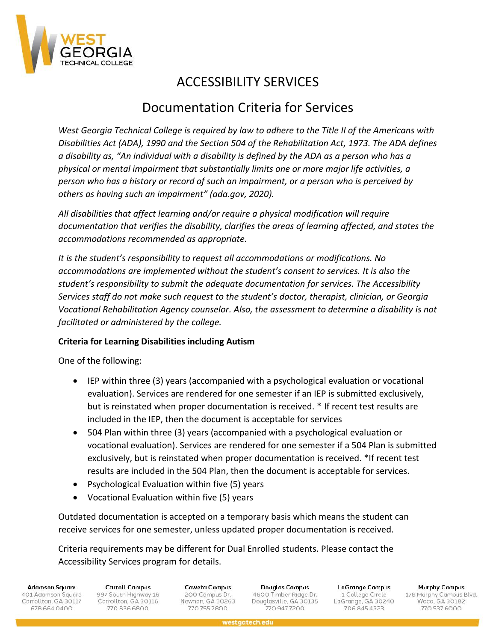

# ACCESSIBILITY SERVICES

# Documentation Criteria for Services

*West Georgia Technical College is required by law to adhere to the Title II of the Americans with Disabilities Act (ADA), 1990 and the Section 504 of the Rehabilitation Act, 1973. The ADA defines a disability as, "An individual with a disability is defined by the ADA as a person who has a physical or mental impairment that substantially limits one or more major life activities, a person who has a history or record of such an impairment, or a person who is perceived by others as having such an impairment" (ada.gov, 2020).*

*All disabilities that affect learning and/or require a physical modification will require documentation that verifies the disability, clarifies the areas of learning affected, and states the accommodations recommended as appropriate.*

*It is the student's responsibility to request all accommodations or modifications. No accommodations are implemented without the student's consent to services. It is also the student's responsibility to submit the adequate documentation for services. The Accessibility Services staff do not make such request to the student's doctor, therapist, clinician, or Georgia Vocational Rehabilitation Agency counselor. Also, the assessment to determine a disability is not facilitated or administered by the college.* 

## **Criteria for Learning Disabilities including Autism**

One of the following:

- IEP within three (3) years (accompanied with a psychological evaluation or vocational evaluation). Services are rendered for one semester if an IEP is submitted exclusively, but is reinstated when proper documentation is received. \* If recent test results are included in the IEP, then the document is acceptable for services
- 504 Plan within three (3) years (accompanied with a psychological evaluation or vocational evaluation). Services are rendered for one semester if a 504 Plan is submitted exclusively, but is reinstated when proper documentation is received. \*If recent test results are included in the 504 Plan, then the document is acceptable for services.
- Psychological Evaluation within five (5) years
- Vocational Evaluation within five (5) years

Outdated documentation is accepted on a temporary basis which means the student can receive services for one semester, unless updated proper documentation is received.

Criteria requirements may be different for Dual Enrolled students. Please contact the Accessibility Services program for details.

**Adamson Square** 401 Adamson Square Carrollton, GA 30117 678.664.0400

**Carroll Campus** 997 South Highway 16 Carrollton, GA 30116 770.836.6800

Coweta Campus 200 Campus Dr. Newnan, GA 30263 770.755.7800

Douglas Campus 4600 Timber Ridge Dr. Douglasville, GA 30135 770.947.7200

**LaGrange Campus** 1 College Circle LaGrange, GA 30240 706.845.4323

**Murphy Campus** 176 Murphy Campus Blvd.<br>Waco, GA 30182 770.537.6000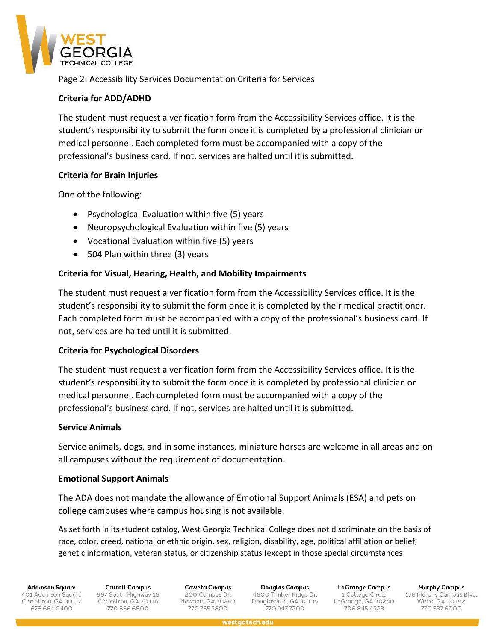

Page 2: Accessibility Services Documentation Criteria for Services

## **Criteria for ADD/ADHD**

The student must request a verification form from the Accessibility Services office. It is the student's responsibility to submit the form once it is completed by a professional clinician or medical personnel. Each completed form must be accompanied with a copy of the professional's business card. If not, services are halted until it is submitted.

## **Criteria for Brain Injuries**

One of the following:

- Psychological Evaluation within five (5) years
- Neuropsychological Evaluation within five (5) years
- Vocational Evaluation within five (5) years
- 504 Plan within three (3) years

## **Criteria for Visual, Hearing, Health, and Mobility Impairments**

The student must request a verification form from the Accessibility Services office. It is the student's responsibility to submit the form once it is completed by their medical practitioner. Each completed form must be accompanied with a copy of the professional's business card. If not, services are halted until it is submitted.

### **Criteria for Psychological Disorders**

The student must request a verification form from the Accessibility Services office. It is the student's responsibility to submit the form once it is completed by professional clinician or medical personnel. Each completed form must be accompanied with a copy of the professional's business card. If not, services are halted until it is submitted.

### **Service Animals**

Service animals, dogs, and in some instances, miniature horses are welcome in all areas and on all campuses without the requirement of documentation.

### **Emotional Support Animals**

The ADA does not mandate the allowance of Emotional Support Animals (ESA) and pets on college campuses where campus housing is not available.

As set forth in its student catalog, West Georgia Technical College does not discriminate on the basis of race, color, creed, national or ethnic origin, sex, religion, disability, age, political affiliation or belief, genetic information, veteran status, or citizenship status (except in those special circumstances

westgatech.edu

**Adamson Square** 

401 Adamson Square Carrollton, GA 30117 678.664.0400

**Carroll Campus** 997 South Highway 16 Carrollton, GA 30116 770.836.6800

**Coweta Campus** 200 Campus Dr. Newnan, GA 30263 770.755.7800

Douglas Campus 4600 Timber Ridge Dr. Douglasville, GA 30135 770,947,7200

**LaGrange Campus** 1 College Circle LaGrange, GA 30240 706.845.4323

**Murphy Campus** 176 Murphy Campus Blvd.<br>Waco, GA 30182 770.537.6000